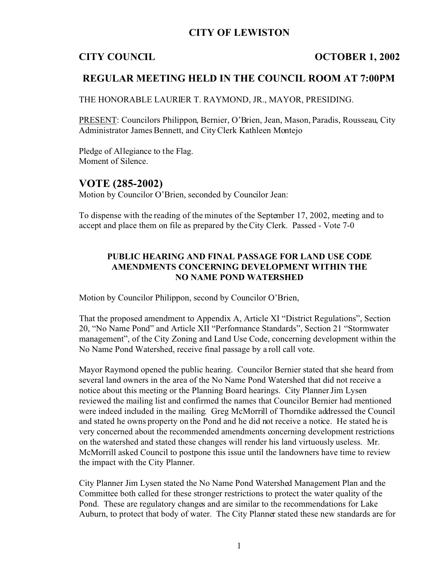## **CITY OF LEWISTON**

### **CITY COUNCIL OCTOBER 1, 2002**

## **REGULAR MEETING HELD IN THE COUNCIL ROOM AT 7:00PM**

THE HONORABLE LAURIER T. RAYMOND, JR., MAYOR, PRESIDING.

PRESENT: Councilors Philippon, Bernier, O'Brien, Jean, Mason, Paradis, Rousseau, City Administrator James Bennett, and City Clerk Kathleen Montejo

Pledge of Allegiance to the Flag. Moment of Silence.

## **VOTE (285-2002)**

Motion by Councilor O'Brien, seconded by Councilor Jean:

To dispense with the reading of the minutes of the September 17, 2002, meeting and to accept and place them on file as prepared by the City Clerk. Passed - Vote 7-0

### **PUBLIC HEARING AND FINAL PASSAGE FOR LAND USE CODE AMENDMENTS CONCERNING DEVELOPMENT WITHIN THE NO NAME POND WATERSHED**

Motion by Councilor Philippon, second by Councilor O'Brien,

That the proposed amendment to Appendix A, Article XI "District Regulations", Section 20, "No Name Pond" and Article XII "Performance Standards", Section 21 "Stormwater management", of the City Zoning and Land Use Code, concerning development within the No Name Pond Watershed, receive final passage by a roll call vote.

Mayor Raymond opened the public hearing. Councilor Bernier stated that she heard from several land owners in the area of the No Name Pond Watershed that did not receive a notice about this meeting or the Planning Board hearings. City Planner Jim Lysen reviewed the mailing list and confirmed the names that Councilor Bernier had mentioned were indeed included in the mailing. Greg McMorrill of Thorndike addressed the Council and stated he owns property on the Pond and he did not receive a notice. He stated he is very concerned about the recommended amendments concerning development restrictions on the watershed and stated these changes will render his land virtuously useless. Mr. McMorrill asked Council to postpone this issue until the landowners have time to review the impact with the City Planner.

City Planner Jim Lysen stated the No Name Pond Watershed Management Plan and the Committee both called for these stronger restrictions to protect the water quality of the Pond. These are regulatory changes and are similar to the recommendations for Lake Auburn, to protect that body of water. The City Planner stated these new standards are for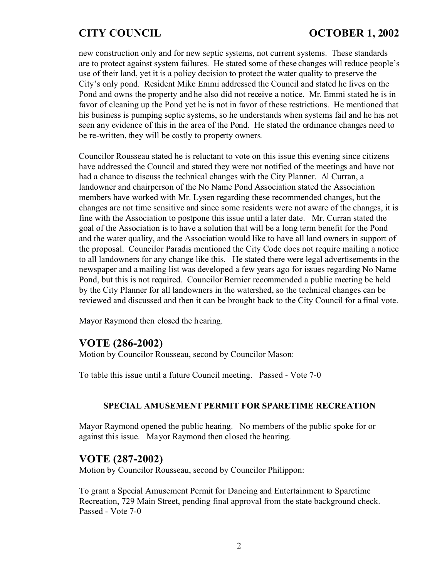new construction only and for new septic systems, not current systems. These standards are to protect against system failures. He stated some of these changes will reduce people's use of their land, yet it is a policy decision to protect the water quality to preserve the City's only pond. Resident Mike Emmi addressed the Council and stated he lives on the Pond and owns the property and he also did not receive a notice. Mr. Emmi stated he is in favor of cleaning up the Pond yet he is not in favor of these restrictions. He mentioned that his business is pumping septic systems, so he understands when systems fail and he has not seen any evidence of this in the area of the Pond. He stated the ordinance changes need to be re-written, they will be costly to property owners.

Councilor Rousseau stated he is reluctant to vote on this issue this evening since citizens have addressed the Council and stated they were not notified of the meetings and have not had a chance to discuss the technical changes with the City Planner. Al Curran, a landowner and chairperson of the No Name Pond Association stated the Association members have worked with Mr. Lysen regarding these recommended changes, but the changes are not time sensitive and since some residents were not aware of the changes, it is fine with the Association to postpone this issue until a later date. Mr. Curran stated the goal of the Association is to have a solution that will be a long term benefit for the Pond and the water quality, and the Association would like to have all land owners in support of the proposal. Councilor Paradis mentioned the City Code does not require mailing a notice to all landowners for any change like this. He stated there were legal advertisements in the newspaper and a mailing list was developed a few years ago for issues regarding No Name Pond, but this is not required. Councilor Bernier recommended a public meeting be held by the City Planner for all landowners in the watershed, so the technical changes can be reviewed and discussed and then it can be brought back to the City Council for a final vote.

Mayor Raymond then closed the hearing.

## **VOTE (286-2002)**

Motion by Councilor Rousseau, second by Councilor Mason:

To table this issue until a future Council meeting. Passed - Vote 7-0

#### **SPECIAL AMUSEMENT PERMIT FOR SPARETIME RECREATION**

Mayor Raymond opened the public hearing. No members of the public spoke for or against this issue. Mayor Raymond then closed the hearing.

## **VOTE (287-2002)**

Motion by Councilor Rousseau, second by Councilor Philippon:

To grant a Special Amusement Permit for Dancing and Entertainment to Sparetime Recreation, 729 Main Street, pending final approval from the state background check. Passed - Vote 7-0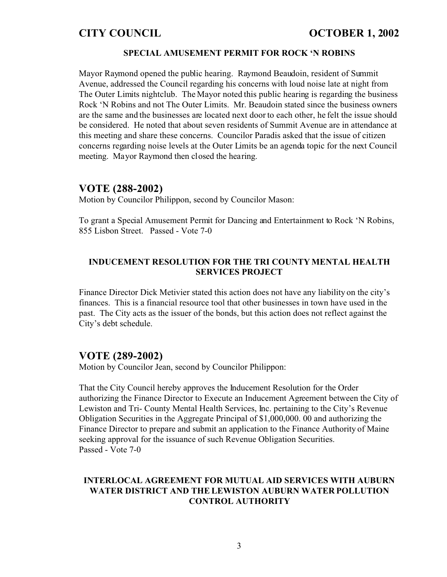#### **SPECIAL AMUSEMENT PERMIT FOR ROCK 'N ROBINS**

Mayor Raymond opened the public hearing. Raymond Beaudoin, resident of Summit Avenue, addressed the Council regarding his concerns with loud noise late at night from The Outer Limits nightclub. The Mayor noted this public hearing is regarding the business Rock 'N Robins and not The Outer Limits. Mr. Beaudoin stated since the business owners are the same and the businesses are located next door to each other, he felt the issue should be considered. He noted that about seven residents of Summit Avenue are in attendance at this meeting and share these concerns. Councilor Paradis asked that the issue of citizen concerns regarding noise levels at the Outer Limits be an agenda topic for the next Council meeting. Mayor Raymond then closed the hearing.

### **VOTE (288-2002)**

Motion by Councilor Philippon, second by Councilor Mason:

To grant a Special Amusement Permit for Dancing and Entertainment to Rock 'N Robins, 855 Lisbon Street. Passed - Vote 7-0

### **INDUCEMENT RESOLUTION FOR THE TRI COUNTY MENTAL HEALTH SERVICES PROJECT**

Finance Director Dick Metivier stated this action does not have any liability on the city's finances. This is a financial resource tool that other businesses in town have used in the past. The City acts as the issuer of the bonds, but this action does not reflect against the City's debt schedule.

### **VOTE (289-2002)**

Motion by Councilor Jean, second by Councilor Philippon:

That the City Council hereby approves the Inducement Resolution for the Order authorizing the Finance Director to Execute an Inducement Agreement between the City of Lewiston and Tri- County Mental Health Services, Inc. pertaining to the City's Revenue Obligation Securities in the Aggregate Principal of \$1,000,000. 00 and authorizing the Finance Director to prepare and submit an application to the Finance Authority of Maine seeking approval for the issuance of such Revenue Obligation Securities. Passed - Vote 7-0

#### **INTERLOCAL AGREEMENT FOR MUTUAL AID SERVICES WITH AUBURN WATER DISTRICT AND THE LEWISTON AUBURN WATER POLLUTION CONTROL AUTHORITY**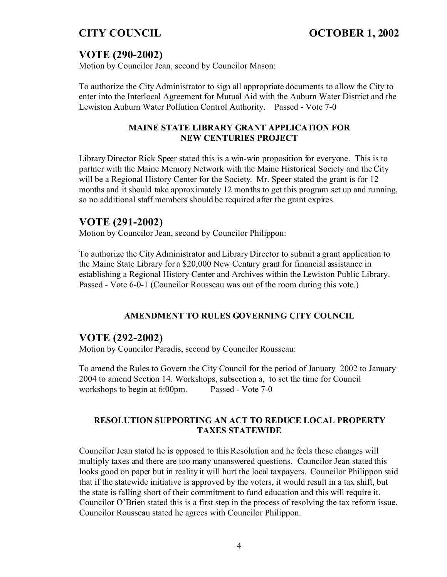# **VOTE (290-2002)**

Motion by Councilor Jean, second by Councilor Mason:

To authorize the City Administrator to sign all appropriate documents to allow the City to enter into the Interlocal Agreement for Mutual Aid with the Auburn Water District and the Lewiston Auburn Water Pollution Control Authority. Passed - Vote 7-0

### **MAINE STATE LIBRARY GRANT APPLICATION FOR NEW CENTURIES PROJECT**

Library Director Rick Speer stated this is a win-win proposition for everyone. This is to partner with the Maine Memory Network with the Maine Historical Society and the City will be a Regional History Center for the Society. Mr. Speer stated the grant is for 12 months and it should take approximately 12 months to get this program set up and running, so no additional staff members should be required after the grant expires.

# **VOTE (291-2002)**

Motion by Councilor Jean, second by Councilor Philippon:

To authorize the City Administrator and Library Director to submit a grant application to the Maine State Library for a \$20,000 New Century grant for financial assistance in establishing a Regional History Center and Archives within the Lewiston Public Library. Passed - Vote 6-0-1 (Councilor Rousseau was out of the room during this vote.)

### **AMENDMENT TO RULES GOVERNING CITY COUNCIL**

# **VOTE (292-2002)**

Motion by Councilor Paradis, second by Councilor Rousseau:

To amend the Rules to Govern the City Council for the period of January 2002 to January 2004 to amend Section 14. Workshops, subsection a, to set the time for Council workshops to begin at 6:00pm. Passed - Vote 7-0

### **RESOLUTION SUPPORTING AN ACT TO REDUCE LOCAL PROPERTY TAXES STATEWIDE**

Councilor Jean stated he is opposed to this Resolution and he feels these changes will multiply taxes and there are too many unanswered questions. Councilor Jean stated this looks good on paper but in reality it will hurt the local taxpayers. Councilor Philippon said that if the statewide initiative is approved by the voters, it would result in a tax shift, but the state is falling short of their commitment to fund education and this will require it. Councilor O'Brien stated this is a first step in the process of resolving the tax reform issue. Councilor Rousseau stated he agrees with Councilor Philippon.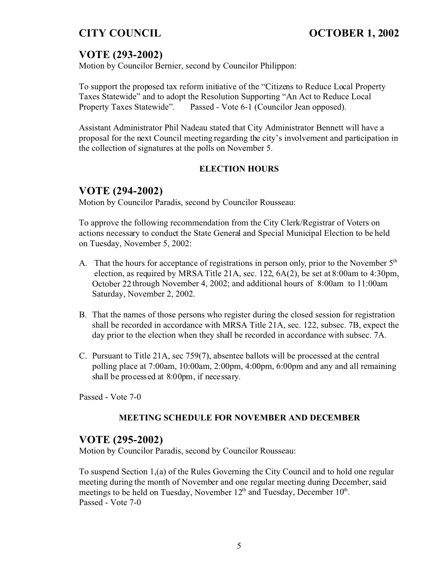# **VOTE (293-2002)**

Motion by Councilor Bernier, second by Councilor Philippon:

To support the proposed tax reform initiative of the "Citizens to Reduce Local Property Taxes Statewide" and to adopt the Resolution Supporting "An Act to Reduce Local Property Taxes Statewide". Passed - Vote 6-1 (Councilor Jean opposed).

Assistant Administrator Phil Nadeau stated that City Administrator Bennett will have a proposal for the next Council meeting regarding the city's involvement and participation in the collection of signatures at the polls on November 5.

### **ELECTION HOURS**

## **VOTE (294-2002)**

Motion by Councilor Paradis, second by Councilor Rousseau:

To approve the following recommendation from the City Clerk/Registrar of Voters on actions necessary to conduct the State General and Special Municipal Election to be held on Tuesday, November 5, 2002:

- A. That the hours for acceptance of registrations in person only, prior to the November  $5<sup>th</sup>$  election, as required by MRSA Title 21A, sec. 122, 6A(2), be set at 8:00am to 4:30pm, October 22 through November 4, 2002; and additional hours of 8:00am to 11:00am Saturday, November 2, 2002.
- B. That the names of those persons who register during the closed session for registration shall be recorded in accordance with MRSA Title 21A, sec. 122, subsec. 7B, expect the day prior to the election when they shall be recorded in accordance with subsec. 7A.
- C. Pursuant to Title 21A, sec 759(7), absentee ballots will be processed at the central polling place at 7:00am, 10:00am, 2:00pm, 4:00pm, 6:00pm and any and all remaining shall be processed at 8:00pm, if necessary.

Passed - Vote 7-0

### **MEETING SCHEDULE FOR NOVEMBER AND DECEMBER**

# **VOTE (295-2002)**

Motion by Councilor Paradis, second by Councilor Rousseau:

To suspend Section 1,(a) of the Rules Governing the City Council and to hold one regular meeting during the month of November and one regular meeting during December, said meetings to be held on Tuesday, November  $12<sup>th</sup>$  and Tuesday, December  $10<sup>th</sup>$ . Passed - Vote 7-0